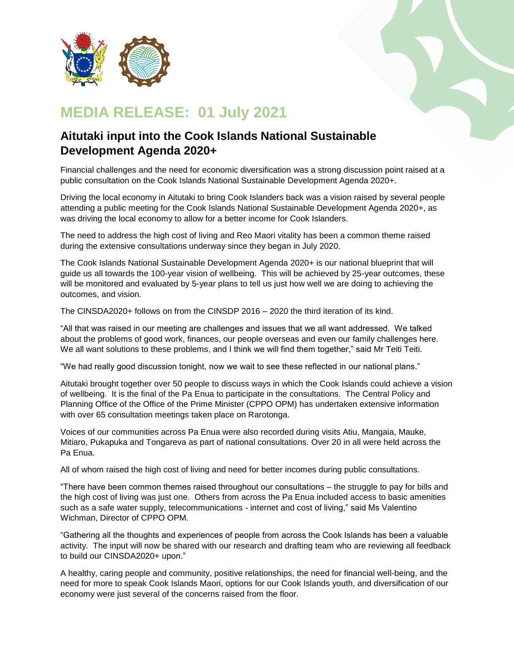

## **MEDIA RELEASE: 01 July 2021**

## **Aitutaki input into the Cook Islands National Sustainable Development Agenda 2020+**

Financial challenges and the need for economic diversification was a strong discussion point raised at a public consultation on the Cook Islands National Sustainable Development Agenda 2020+.

Driving the local economy in Aitutaki to bring Cook Islanders back was a vision raised by several people attending a public meeting for the Cook Islands National Sustainable Development Agenda 2020+, as was driving the local economy to allow for a better income for Cook Islanders.

The need to address the high cost of living and Reo Maori vitality has been a common theme raised during the extensive consultations underway since they began in July 2020.

The Cook Islands National Sustainable Development Agenda 2020+ is our national blueprint that will guide us all towards the 100-year vision of wellbeing. This will be achieved by 25-year outcomes, these will be monitored and evaluated by 5-year plans to tell us just how well we are doing to achieving the outcomes, and vision.

The CINSDA2020+ follows on from the CINSDP 2016 – 2020 the third iteration of its kind.

"All that was raised in our meeting are challenges and issues that we all want addressed. We talked about the problems of good work, finances, our people overseas and even our family challenges here. We all want solutions to these problems, and I think we will find them together," said Mr Teiti Teiti.

"We had really good discussion tonight, now we wait to see these reflected in our national plans."

Aitutaki brought together over 50 people to discuss ways in which the Cook Islands could achieve a vision of wellbeing. It is the final of the Pa Enua to participate in the consultations. The Central Policy and Planning Office of the Office of the Prime Minister (CPPO OPM) has undertaken extensive information with over 65 consultation meetings taken place on Rarotonga.

Voices of our communities across Pa Enua were also recorded during visits Atiu, Mangaia, Mauke, Mitiaro, Pukapuka and Tongareva as part of national consultations. Over 20 in all were held across the Pa Enua.

All of whom raised the high cost of living and need for better incomes during public consultations.

"There have been common themes raised throughout our consultations – the struggle to pay for bills and the high cost of living was just one. Others from across the Pa Enua included access to basic amenities such as a safe water supply, telecommunications - internet and cost of living," said Ms Valentino Wichman, Director of CPPO OPM.

"Gathering all the thoughts and experiences of people from across the Cook Islands has been a valuable activity. The input will now be shared with our research and drafting team who are reviewing all feedback to build our CINSDA2020+ upon."

A healthy, caring people and community, positive relationships, the need for financial well-being, and the need for more to speak Cook Islands Maori, options for our Cook Islands youth, and diversification of our economy were just several of the concerns raised from the floor.